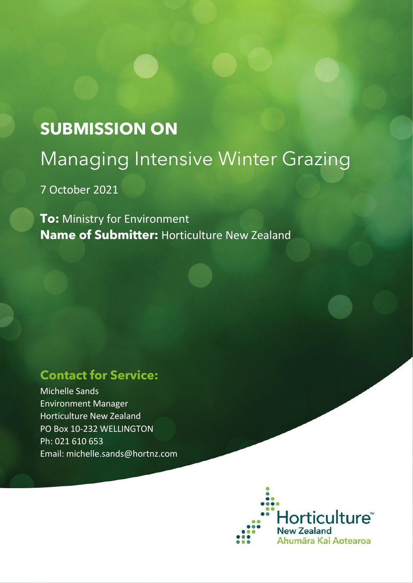# **SUBMISSION ON** Managing Intensive Winter Grazing

7 October 2021

**To:** Ministry for Environment **Name of Submitter:** Horticulture New Zealand

# **Contact for Service:**

Michelle Sands Environment Manager Horticulture New Zealand PO Box 10-232 WELLINGTON Ph: 021 610 653 Email: michelle.sands@hortnz.com

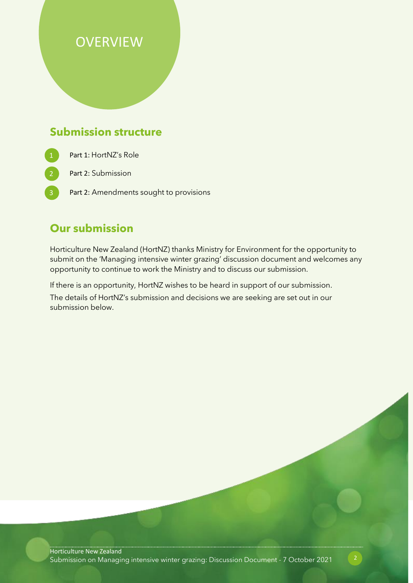# **OVERVIEW**

## **Submission structure**

- Part 1: HortNZ's Role
	- Part 2: Submission
	- Part 2: Amendments sought to provisions

### **Our submission**

Horticulture New Zealand (HortNZ) thanks Ministry for Environment for the opportunity to submit on the 'Managing intensive winter grazing' discussion document and welcomes any opportunity to continue to work the Ministry and to discuss our submission.

If there is an opportunity, HortNZ wishes to be heard in support of our submission.

The details of HortNZ's submission and decisions we are seeking are set out in our submission below.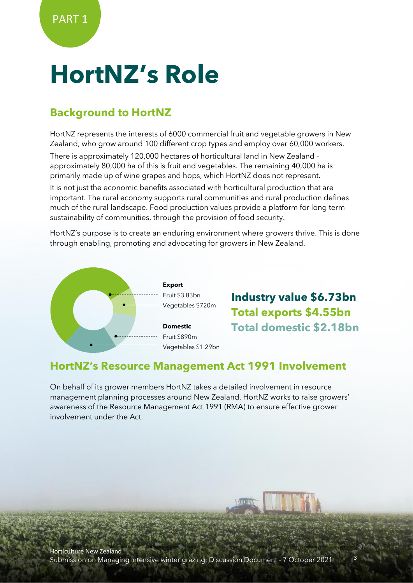# **HortNZ's Role**

## **Background to HortNZ**

HortNZ represents the interests of 6000 commercial fruit and vegetable growers in New Zealand, who grow around 100 different crop types and employ over 60,000 workers.

There is approximately 120,000 hectares of horticultural land in New Zealand approximately 80,000 ha of this is fruit and vegetables. The remaining 40,000 ha is primarily made up of wine grapes and hops, which HortNZ does not represent.

It is not just the economic benefits associated with horticultural production that are important. The rural economy supports rural communities and rural production defines much of the rural landscape. Food production values provide a platform for long term sustainability of communities, through the provision of food security.

HortNZ's purpose is to create an enduring environment where growers thrive. This is done through enabling, promoting and advocating for growers in New Zealand.



**Industry value \$6.73bn Total exports \$4.55bn Total domestic \$2.18bn**

#### **HortNZ's Resource Management Act 1991 Involvement**

On behalf of its grower members HortNZ takes a detailed involvement in resource management planning processes around New Zealand. HortNZ works to raise growers' awareness of the Resource Management Act 1991 (RMA) to ensure effective grower involvement under the Act.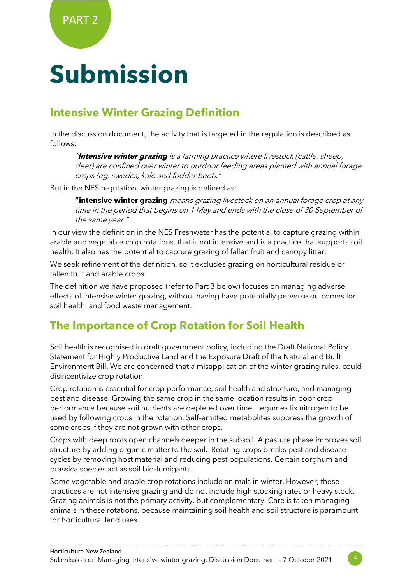# **Submission**

## **Intensive Winter Grazing Definition**

In the discussion document, the activity that is targeted in the regulation is described as follows:

"**Intensive winter grazing** is a farming practice where livestock (cattle, sheep, deer) are confined over winter to outdoor feeding areas planted with annual forage crops (eg, swedes, kale and fodder beet)."

But in the NES regulation, winter grazing is defined as:

**"intensive winter grazing** means grazing livestock on an annual forage crop at any time in the period that begins on 1 May and ends with the close of 30 September of the same year."

In our view the definition in the NES Freshwater has the potential to capture grazing within arable and vegetable crop rotations, that is not intensive and is a practice that supports soil health. It also has the potential to capture grazing of fallen fruit and canopy litter.

We seek refinement of the definition, so it excludes grazing on horticultural residue or fallen fruit and arable crops.

The definition we have proposed (refer to Part 3 below) focuses on managing adverse effects of intensive winter grazing, without having have potentially perverse outcomes for soil health, and food waste management.

# **The Importance of Crop Rotation for Soil Health**

Soil health is recognised in draft government policy, including the Draft National Policy Statement for Highly Productive Land and the Exposure Draft of the Natural and Built Environment Bill. We are concerned that a misapplication of the winter grazing rules, could disincentivize crop rotation.

Crop rotation is essential for crop performance, soil health and structure, and managing pest and disease. Growing the same crop in the same location results in poor crop performance because soil nutrients are depleted over time. Legumes fix nitrogen to be used by following crops in the rotation. Self-emitted metabolites suppress the growth of some crops if they are not grown with other crops.

Crops with deep roots open channels deeper in the subsoil. A pasture phase improves soil structure by adding organic matter to the soil. Rotating crops breaks pest and disease cycles by removing host material and reducing pest populations. Certain sorghum and brassica species act as soil bio-fumigants.

Some vegetable and arable crop rotations include animals in winter. However, these practices are not intensive grazing and do not include high stocking rates or heavy stock. Grazing animals is not the primary activity, but complementary. Care is taken managing animals in these rotations, because maintaining soil health and soil structure is paramount for horticultural land uses.

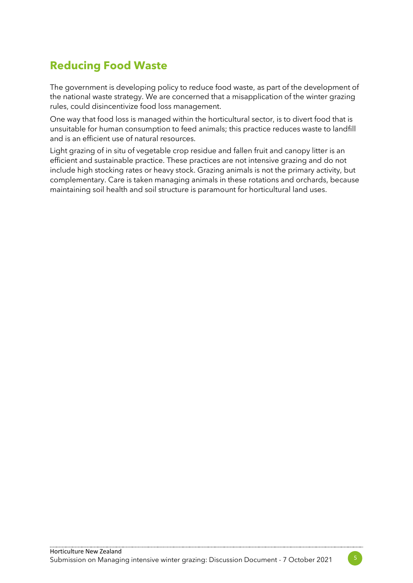# **Reducing Food Waste**

The government is developing policy to reduce food waste, as part of the development of the national waste strategy. We are concerned that a misapplication of the winter grazing rules, could disincentivize food loss management.

One way that food loss is managed within the horticultural sector, is to divert food that is unsuitable for human consumption to feed animals; this practice reduces waste to landfill and is an efficient use of natural resources.

Light grazing of in situ of vegetable crop residue and fallen fruit and canopy litter is an efficient and sustainable practice. These practices are not intensive grazing and do not include high stocking rates or heavy stock. Grazing animals is not the primary activity, but complementary. Care is taken managing animals in these rotations and orchards, because maintaining soil health and soil structure is paramount for horticultural land uses.